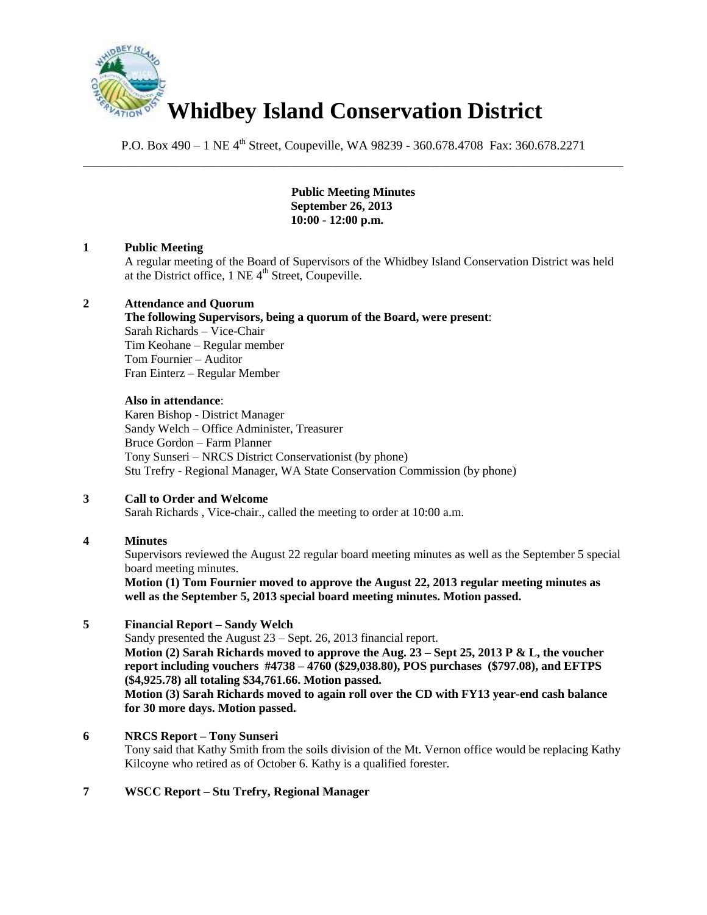

P.O. Box 490 – 1 NE 4<sup>th</sup> Street, Coupeville, WA 98239 - 360.678.4708 Fax: 360.678.2271 \_\_\_\_\_\_\_\_\_\_\_\_\_\_\_\_\_\_\_\_\_\_\_\_\_\_\_\_\_\_\_\_\_\_\_\_\_\_\_\_\_\_\_\_\_\_\_\_\_\_\_\_\_\_\_\_\_\_\_\_\_\_\_\_\_\_\_\_\_\_\_\_\_\_\_\_\_\_

> **Public Meeting Minutes September 26, 2013 10:00 - 12:00 p.m.**

## **1 Public Meeting**

A regular meeting of the Board of Supervisors of the Whidbey Island Conservation District was held at the District office,  $1$  NE  $4<sup>th</sup>$  Street, Coupeville.

#### **2 Attendance and Quorum**

### **The following Supervisors, being a quorum of the Board, were present**:

Sarah Richards – Vice-Chair Tim Keohane – Regular member Tom Fournier – Auditor Fran Einterz – Regular Member

#### **Also in attendance**:

Karen Bishop - District Manager Sandy Welch – Office Administer, Treasurer Bruce Gordon – Farm Planner Tony Sunseri – NRCS District Conservationist (by phone) Stu Trefry - Regional Manager, WA State Conservation Commission (by phone)

## **3 Call to Order and Welcome**

Sarah Richards , Vice-chair., called the meeting to order at 10:00 a.m.

## **4 Minutes**

Supervisors reviewed the August 22 regular board meeting minutes as well as the September 5 special board meeting minutes.

**Motion (1) Tom Fournier moved to approve the August 22, 2013 regular meeting minutes as well as the September 5, 2013 special board meeting minutes. Motion passed.**

#### **5 Financial Report – Sandy Welch**

Sandy presented the August 23 – Sept. 26, 2013 financial report. **Motion (2) Sarah Richards moved to approve the Aug. 23 – Sept 25, 2013 P & L, the voucher report including vouchers #4738 – 4760 (\$29,038.80), POS purchases (\$797.08), and EFTPS (\$4,925.78) all totaling \$34,761.66. Motion passed. Motion (3) Sarah Richards moved to again roll over the CD with FY13 year-end cash balance** 

**for 30 more days. Motion passed.** 

## **6 NRCS Report – Tony Sunseri**

Tony said that Kathy Smith from the soils division of the Mt. Vernon office would be replacing Kathy Kilcoyne who retired as of October 6. Kathy is a qualified forester.

## **7 WSCC Report – Stu Trefry, Regional Manager**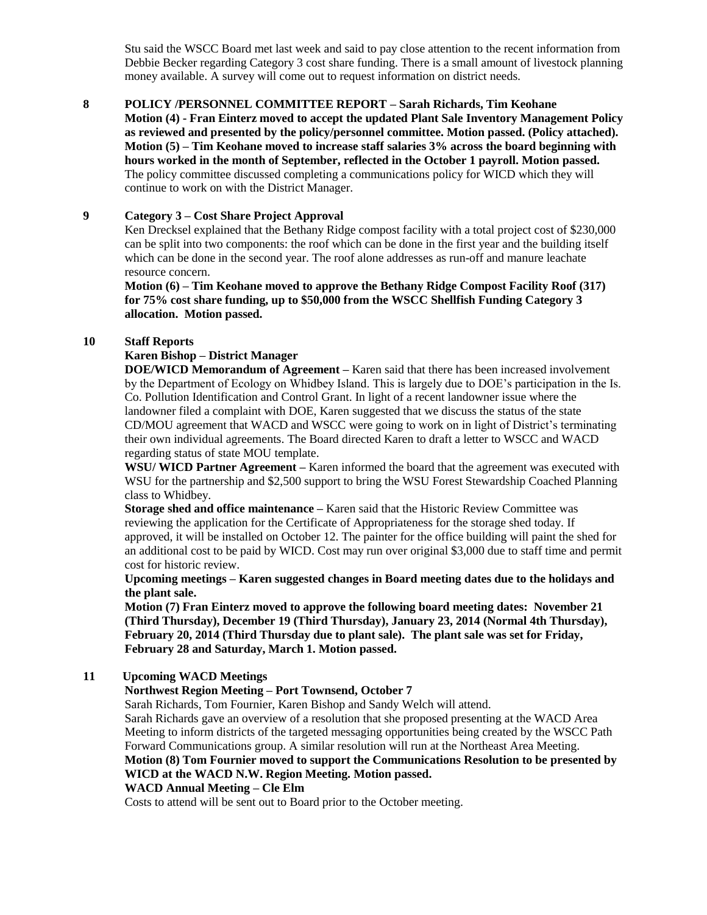Stu said the WSCC Board met last week and said to pay close attention to the recent information from Debbie Becker regarding Category 3 cost share funding. There is a small amount of livestock planning money available. A survey will come out to request information on district needs.

# **8 POLICY /PERSONNEL COMMITTEE REPORT – Sarah Richards, Tim Keohane**

**Motion (4) - Fran Einterz moved to accept the updated Plant Sale Inventory Management Policy as reviewed and presented by the policy/personnel committee. Motion passed. (Policy attached). Motion (5) – Tim Keohane moved to increase staff salaries 3% across the board beginning with hours worked in the month of September, reflected in the October 1 payroll. Motion passed.**  The policy committee discussed completing a communications policy for WICD which they will continue to work on with the District Manager.

## **9 Category 3 – Cost Share Project Approval**

Ken Drecksel explained that the Bethany Ridge compost facility with a total project cost of \$230,000 can be split into two components: the roof which can be done in the first year and the building itself which can be done in the second year. The roof alone addresses as run-off and manure leachate resource concern.

**Motion (6) – Tim Keohane moved to approve the Bethany Ridge Compost Facility Roof (317) for 75% cost share funding, up to \$50,000 from the WSCC Shellfish Funding Category 3 allocation. Motion passed.** 

#### **10 Staff Reports**

## **Karen Bishop – District Manager**

**DOE/WICD Memorandum of Agreement –** Karen said that there has been increased involvement by the Department of Ecology on Whidbey Island. This is largely due to DOE's participation in the Is. Co. Pollution Identification and Control Grant. In light of a recent landowner issue where the landowner filed a complaint with DOE, Karen suggested that we discuss the status of the state CD/MOU agreement that WACD and WSCC were going to work on in light of District's terminating their own individual agreements. The Board directed Karen to draft a letter to WSCC and WACD regarding status of state MOU template.

**WSU/ WICD Partner Agreement –** Karen informed the board that the agreement was executed with WSU for the partnership and \$2,500 support to bring the WSU Forest Stewardship Coached Planning class to Whidbey.

**Storage shed and office maintenance –** Karen said that the Historic Review Committee was reviewing the application for the Certificate of Appropriateness for the storage shed today. If approved, it will be installed on October 12. The painter for the office building will paint the shed for an additional cost to be paid by WICD. Cost may run over original \$3,000 due to staff time and permit cost for historic review.

#### **Upcoming meetings – Karen suggested changes in Board meeting dates due to the holidays and the plant sale.**

**Motion (7) Fran Einterz moved to approve the following board meeting dates: November 21 (Third Thursday), December 19 (Third Thursday), January 23, 2014 (Normal 4th Thursday), February 20, 2014 (Third Thursday due to plant sale). The plant sale was set for Friday, February 28 and Saturday, March 1. Motion passed.** 

## **11 Upcoming WACD Meetings**

## **Northwest Region Meeting – Port Townsend, October 7**

Sarah Richards, Tom Fournier, Karen Bishop and Sandy Welch will attend.

Sarah Richards gave an overview of a resolution that she proposed presenting at the WACD Area Meeting to inform districts of the targeted messaging opportunities being created by the WSCC Path Forward Communications group. A similar resolution will run at the Northeast Area Meeting. **Motion (8) Tom Fournier moved to support the Communications Resolution to be presented by WICD at the WACD N.W. Region Meeting. Motion passed.** 

## **WACD Annual Meeting – Cle Elm**

Costs to attend will be sent out to Board prior to the October meeting.